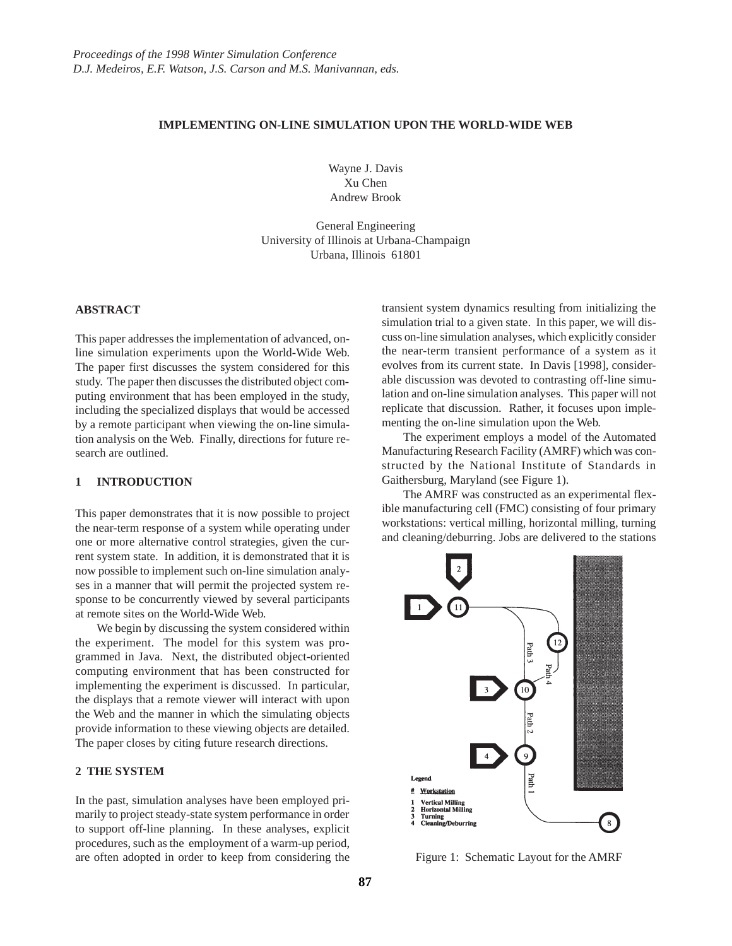#### **IMPLEMENTING ON-LINE SIMULATION UPON THE WORLD-WIDE WEB**

Wayne J. Davis Xu Chen Andrew Brook

General Engineering University of Illinois at Urbana-Champaign Urbana, Illinois 61801

# **ABSTRACT**

This paper addresses the implementation of advanced, online simulation experiments upon the World-Wide Web. The paper first discusses the system considered for this study. The paper then discusses the distributed object computing environment that has been employed in the study, including the specialized displays that would be accessed by a remote participant when viewing the on-line simulation analysis on the Web. Finally, directions for future research are outlined.

### **1 INTRODUCTION**

This paper demonstrates that it is now possible to project the near-term response of a system while operating under one or more alternative control strategies, given the current system state. In addition, it is demonstrated that it is now possible to implement such on-line simulation analyses in a manner that will permit the projected system response to be concurrently viewed by several participants at remote sites on the World-Wide Web.

We begin by discussing the system considered within the experiment. The model for this system was programmed in Java. Next, the distributed object-oriented computing environment that has been constructed for implementing the experiment is discussed. In particular, the displays that a remote viewer will interact with upon the Web and the manner in which the simulating objects provide information to these viewing objects are detailed. The paper closes by citing future research directions.

# **2 THE SYSTEM**

In the past, simulation analyses have been employed primarily to project steady-state system performance in order to support off-line planning. In these analyses, explicit procedures, such as the employment of a warm-up period, are often adopted in order to keep from considering the

transient system dynamics resulting from initializing the simulation trial to a given state. In this paper, we will discuss on-line simulation analyses, which explicitly consider the near-term transient performance of a system as it evolves from its current state. In Davis [1998], considerable discussion was devoted to contrasting off-line simulation and on-line simulation analyses. This paper will not replicate that discussion. Rather, it focuses upon implementing the on-line simulation upon the Web.

The experiment employs a model of the Automated Manufacturing Research Facility (AMRF) which was constructed by the National Institute of Standards in Gaithersburg, Maryland (see Figure 1).

The AMRF was constructed as an experimental flexible manufacturing cell (FMC) consisting of four primary workstations: vertical milling, horizontal milling, turning and cleaning/deburring. Jobs are delivered to the stations



Figure 1: Schematic Layout for the AMRF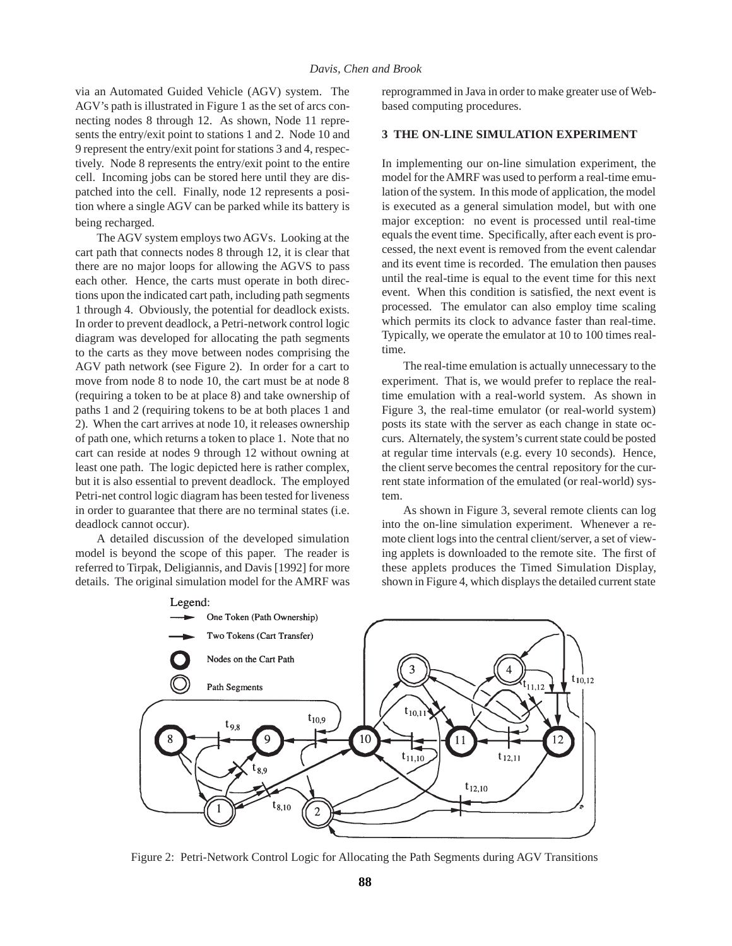via an Automated Guided Vehicle (AGV) system. The AGV's path is illustrated in Figure 1 as the set of arcs connecting nodes 8 through 12. As shown, Node 11 represents the entry/exit point to stations 1 and 2. Node 10 and 9 represent the entry/exit point for stations 3 and 4, respectively. Node 8 represents the entry/exit point to the entire cell. Incoming jobs can be stored here until they are dispatched into the cell. Finally, node 12 represents a position where a single AGV can be parked while its battery is being recharged.

The AGV system employs two AGVs. Looking at the cart path that connects nodes 8 through 12, it is clear that there are no major loops for allowing the AGVS to pass each other. Hence, the carts must operate in both directions upon the indicated cart path, including path segments 1 through 4. Obviously, the potential for deadlock exists. In order to prevent deadlock, a Petri-network control logic diagram was developed for allocating the path segments to the carts as they move between nodes comprising the AGV path network (see Figure 2). In order for a cart to move from node 8 to node 10, the cart must be at node 8 (requiring a token to be at place 8) and take ownership of paths 1 and 2 (requiring tokens to be at both places 1 and 2). When the cart arrives at node 10, it releases ownership of path one, which returns a token to place 1. Note that no cart can reside at nodes 9 through 12 without owning at least one path. The logic depicted here is rather complex, but it is also essential to prevent deadlock. The employed Petri-net control logic diagram has been tested for liveness in order to guarantee that there are no terminal states (i.e. deadlock cannot occur).

A detailed discussion of the developed simulation model is beyond the scope of this paper. The reader is referred to Tirpak, Deligiannis, and Davis [1992] for more details. The original simulation model for the AMRF was reprogrammed in Java in order to make greater use of Webbased computing procedures.

### **3 THE ON-LINE SIMULATION EXPERIMENT**

In implementing our on-line simulation experiment, the model for the AMRF was used to perform a real-time emulation of the system. In this mode of application, the model is executed as a general simulation model, but with one major exception: no event is processed until real-time equals the event time. Specifically, after each event is processed, the next event is removed from the event calendar and its event time is recorded. The emulation then pauses until the real-time is equal to the event time for this next event. When this condition is satisfied, the next event is processed. The emulator can also employ time scaling which permits its clock to advance faster than real-time. Typically, we operate the emulator at 10 to 100 times realtime.

The real-time emulation is actually unnecessary to the experiment. That is, we would prefer to replace the realtime emulation with a real-world system. As shown in Figure 3, the real-time emulator (or real-world system) posts its state with the server as each change in state occurs. Alternately, the system's current state could be posted at regular time intervals (e.g. every 10 seconds). Hence, the client serve becomes the central repository for the current state information of the emulated (or real-world) system.

As shown in Figure 3, several remote clients can log into the on-line simulation experiment. Whenever a remote client logs into the central client/server, a set of viewing applets is downloaded to the remote site. The first of these applets produces the Timed Simulation Display, shown in Figure 4, which displays the detailed current state



Figure 2: Petri-Network Control Logic for Allocating the Path Segments during AGV Transitions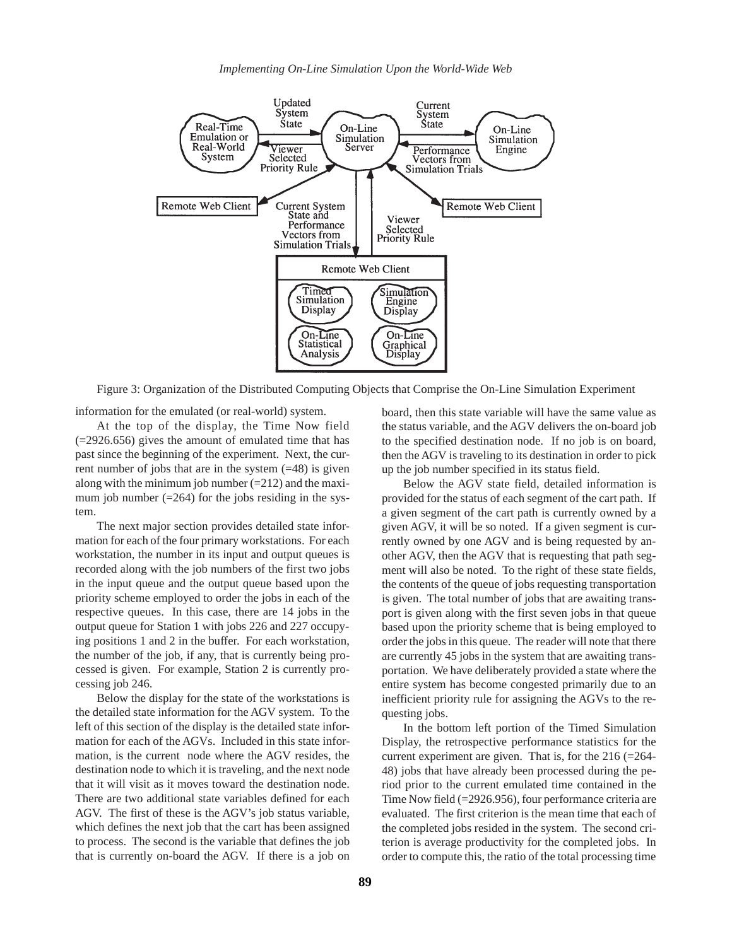

Figure 3: Organization of the Distributed Computing Objects that Comprise the On-Line Simulation Experiment

information for the emulated (or real-world) system.

At the top of the display, the Time Now field (=2926.656) gives the amount of emulated time that has past since the beginning of the experiment. Next, the current number of jobs that are in the system  $(=48)$  is given along with the minimum job number  $(=212)$  and the maximum job number  $(=264)$  for the jobs residing in the system.

The next major section provides detailed state information for each of the four primary workstations. For each workstation, the number in its input and output queues is recorded along with the job numbers of the first two jobs in the input queue and the output queue based upon the priority scheme employed to order the jobs in each of the respective queues. In this case, there are 14 jobs in the output queue for Station 1 with jobs 226 and 227 occupying positions 1 and 2 in the buffer. For each workstation, the number of the job, if any, that is currently being processed is given. For example, Station 2 is currently processing job 246.

Below the display for the state of the workstations is the detailed state information for the AGV system. To the left of this section of the display is the detailed state information for each of the AGVs. Included in this state information, is the current node where the AGV resides, the destination node to which it is traveling, and the next node that it will visit as it moves toward the destination node. There are two additional state variables defined for each AGV. The first of these is the AGV's job status variable, which defines the next job that the cart has been assigned to process. The second is the variable that defines the job that is currently on-board the AGV. If there is a job on

board, then this state variable will have the same value as the status variable, and the AGV delivers the on-board job to the specified destination node. If no job is on board, then the AGV is traveling to its destination in order to pick up the job number specified in its status field.

Below the AGV state field, detailed information is provided for the status of each segment of the cart path. If a given segment of the cart path is currently owned by a given AGV, it will be so noted. If a given segment is currently owned by one AGV and is being requested by another AGV, then the AGV that is requesting that path segment will also be noted. To the right of these state fields, the contents of the queue of jobs requesting transportation is given. The total number of jobs that are awaiting transport is given along with the first seven jobs in that queue based upon the priority scheme that is being employed to order the jobs in this queue. The reader will note that there are currently 45 jobs in the system that are awaiting transportation. We have deliberately provided a state where the entire system has become congested primarily due to an inefficient priority rule for assigning the AGVs to the requesting jobs.

In the bottom left portion of the Timed Simulation Display, the retrospective performance statistics for the current experiment are given. That is, for the  $216$  (=264-48) jobs that have already been processed during the period prior to the current emulated time contained in the Time Now field (=2926.956), four performance criteria are evaluated. The first criterion is the mean time that each of the completed jobs resided in the system. The second criterion is average productivity for the completed jobs. In order to compute this, the ratio of the total processing time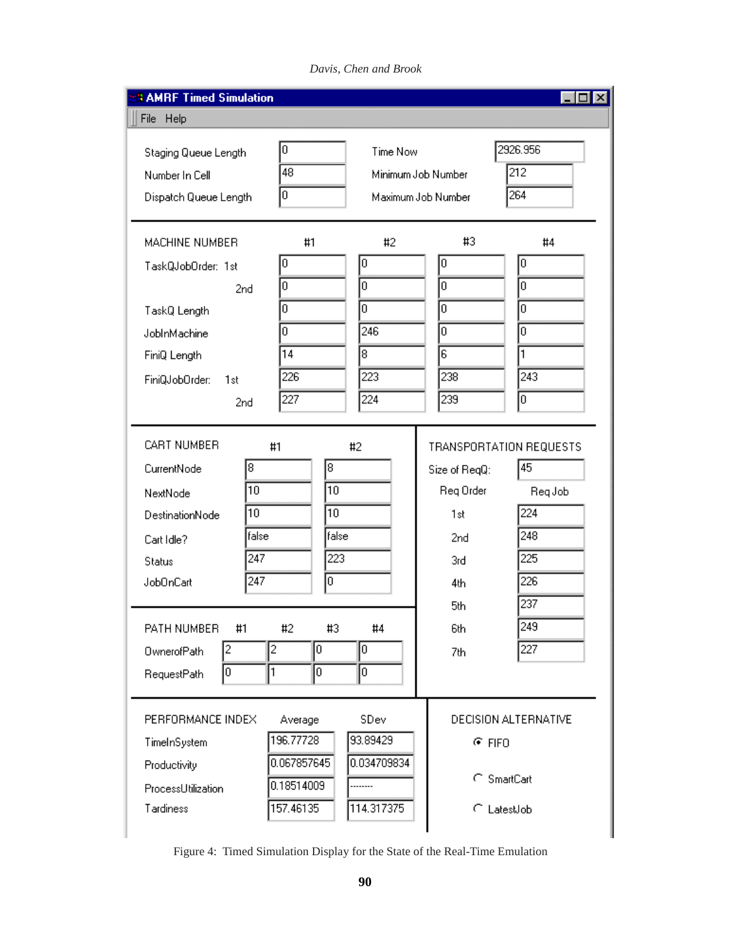*Davis, Chen and Brook*

| <b>BAMRF Timed Simulation</b>                                                                                                                                                                  |                                                                   |                                 |                                                                             |                                                                                          |  |
|------------------------------------------------------------------------------------------------------------------------------------------------------------------------------------------------|-------------------------------------------------------------------|---------------------------------|-----------------------------------------------------------------------------|------------------------------------------------------------------------------------------|--|
| File Help                                                                                                                                                                                      |                                                                   |                                 |                                                                             |                                                                                          |  |
| Staging Queue Length<br>Number In Cell<br>Dispatch Queue Length                                                                                                                                | 0<br>48<br>0                                                      | Time Now                        | Minimum Job Number<br>Maximum Job Number                                    | 2926.956<br>212<br>264                                                                   |  |
| MACHINE NUMBER                                                                                                                                                                                 | #1                                                                | #2                              | #3                                                                          | #4                                                                                       |  |
| TaskQJobOrder: 1st                                                                                                                                                                             | 0                                                                 | 0                               | 0                                                                           | 0                                                                                        |  |
| 2nd                                                                                                                                                                                            | 0                                                                 | 0                               | 0                                                                           | 0                                                                                        |  |
| TaskQ Length                                                                                                                                                                                   | 0                                                                 | 0                               | 0                                                                           | 0                                                                                        |  |
| JoblnMachine                                                                                                                                                                                   | 0                                                                 | 246                             | 0                                                                           | 0                                                                                        |  |
| FiniQ Length                                                                                                                                                                                   | 14                                                                | 8                               | 6                                                                           | 1                                                                                        |  |
| FiniQJobOrder:<br>1st                                                                                                                                                                          | 226                                                               | 223                             | 238                                                                         | 243                                                                                      |  |
| 2nd                                                                                                                                                                                            | 227                                                               | 224                             | 239                                                                         | 0                                                                                        |  |
| CART NUMBER<br>18<br>CurrentNode<br>10<br>NextNode<br>10<br>DestinationNode<br>false<br>Cart Idle?<br>247<br><b>Status</b><br>247<br>JobOnCart<br>PATH NUMBER<br>#1<br>2<br><b>OwnerofPath</b> | #1<br>18<br>10<br>10<br>false.<br>223<br>O)<br>#2<br>#3<br>2<br>0 | #2<br>#4<br>I٥<br>o             | Size of RegQ:<br>Reg Order<br>1st<br>2nd<br>3rd<br>4th<br>5th<br>6th<br>7th | TRANSPORTATION REQUESTS<br>45<br>RegJob<br>224<br>248<br>225<br>226<br>237<br>249<br>227 |  |
| o<br>RequestPath<br>PERFORMANCE INDEX                                                                                                                                                          | O<br>1<br>Average                                                 |                                 | DECISION ALTERNATIVE                                                        |                                                                                          |  |
| TimeInSystem<br>Productivity                                                                                                                                                                   | 196.77728<br>0.067857645                                          | SDev<br>93.89429<br>0.034709834 | $G$ FIFO                                                                    |                                                                                          |  |
| ProcessUtilization                                                                                                                                                                             | 0.18514009                                                        | .                               |                                                                             | C SmartCart                                                                              |  |
| Tardiness                                                                                                                                                                                      | 157.46135                                                         | 114.317375                      |                                                                             | C LatestJob                                                                              |  |

Figure 4: Timed Simulation Display for the State of the Real-Time Emulation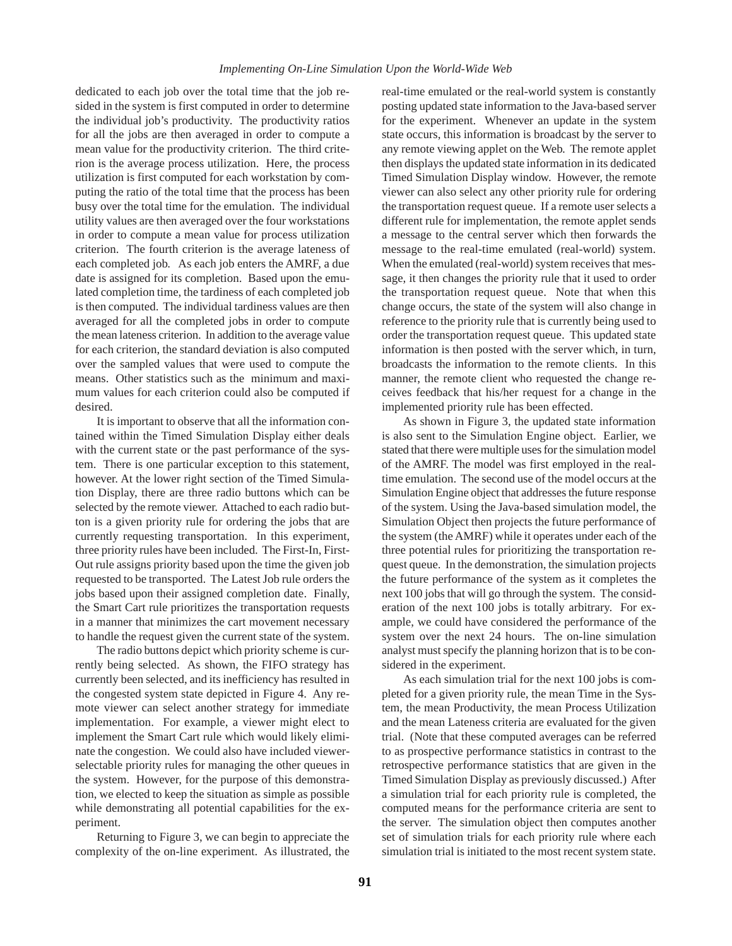dedicated to each job over the total time that the job resided in the system is first computed in order to determine the individual job's productivity. The productivity ratios for all the jobs are then averaged in order to compute a mean value for the productivity criterion. The third criterion is the average process utilization. Here, the process utilization is first computed for each workstation by computing the ratio of the total time that the process has been busy over the total time for the emulation. The individual utility values are then averaged over the four workstations in order to compute a mean value for process utilization criterion. The fourth criterion is the average lateness of each completed job. As each job enters the AMRF, a due date is assigned for its completion. Based upon the emulated completion time, the tardiness of each completed job is then computed. The individual tardiness values are then averaged for all the completed jobs in order to compute the mean lateness criterion. In addition to the average value for each criterion, the standard deviation is also computed over the sampled values that were used to compute the means. Other statistics such as the minimum and maximum values for each criterion could also be computed if desired.

It is important to observe that all the information contained within the Timed Simulation Display either deals with the current state or the past performance of the system. There is one particular exception to this statement, however. At the lower right section of the Timed Simulation Display, there are three radio buttons which can be selected by the remote viewer. Attached to each radio button is a given priority rule for ordering the jobs that are currently requesting transportation. In this experiment, three priority rules have been included. The First-In, First-Out rule assigns priority based upon the time the given job requested to be transported. The Latest Job rule orders the jobs based upon their assigned completion date. Finally, the Smart Cart rule prioritizes the transportation requests in a manner that minimizes the cart movement necessary to handle the request given the current state of the system.

The radio buttons depict which priority scheme is currently being selected. As shown, the FIFO strategy has currently been selected, and its inefficiency has resulted in the congested system state depicted in Figure 4. Any remote viewer can select another strategy for immediate implementation. For example, a viewer might elect to implement the Smart Cart rule which would likely eliminate the congestion. We could also have included viewerselectable priority rules for managing the other queues in the system. However, for the purpose of this demonstration, we elected to keep the situation as simple as possible while demonstrating all potential capabilities for the experiment.

Returning to Figure 3, we can begin to appreciate the complexity of the on-line experiment. As illustrated, the real-time emulated or the real-world system is constantly posting updated state information to the Java-based server for the experiment. Whenever an update in the system state occurs, this information is broadcast by the server to any remote viewing applet on the Web. The remote applet then displays the updated state information in its dedicated Timed Simulation Display window. However, the remote viewer can also select any other priority rule for ordering the transportation request queue. If a remote user selects a different rule for implementation, the remote applet sends a message to the central server which then forwards the message to the real-time emulated (real-world) system. When the emulated (real-world) system receives that message, it then changes the priority rule that it used to order the transportation request queue. Note that when this change occurs, the state of the system will also change in reference to the priority rule that is currently being used to order the transportation request queue. This updated state information is then posted with the server which, in turn, broadcasts the information to the remote clients. In this manner, the remote client who requested the change receives feedback that his/her request for a change in the implemented priority rule has been effected.

As shown in Figure 3, the updated state information is also sent to the Simulation Engine object. Earlier, we stated that there were multiple uses for the simulation model of the AMRF. The model was first employed in the realtime emulation. The second use of the model occurs at the Simulation Engine object that addresses the future response of the system. Using the Java-based simulation model, the Simulation Object then projects the future performance of the system (the AMRF) while it operates under each of the three potential rules for prioritizing the transportation request queue. In the demonstration, the simulation projects the future performance of the system as it completes the next 100 jobs that will go through the system. The consideration of the next 100 jobs is totally arbitrary. For example, we could have considered the performance of the system over the next 24 hours. The on-line simulation analyst must specify the planning horizon that is to be considered in the experiment.

As each simulation trial for the next 100 jobs is completed for a given priority rule, the mean Time in the System, the mean Productivity, the mean Process Utilization and the mean Lateness criteria are evaluated for the given trial. (Note that these computed averages can be referred to as prospective performance statistics in contrast to the retrospective performance statistics that are given in the Timed Simulation Display as previously discussed.) After a simulation trial for each priority rule is completed, the computed means for the performance criteria are sent to the server. The simulation object then computes another set of simulation trials for each priority rule where each simulation trial is initiated to the most recent system state.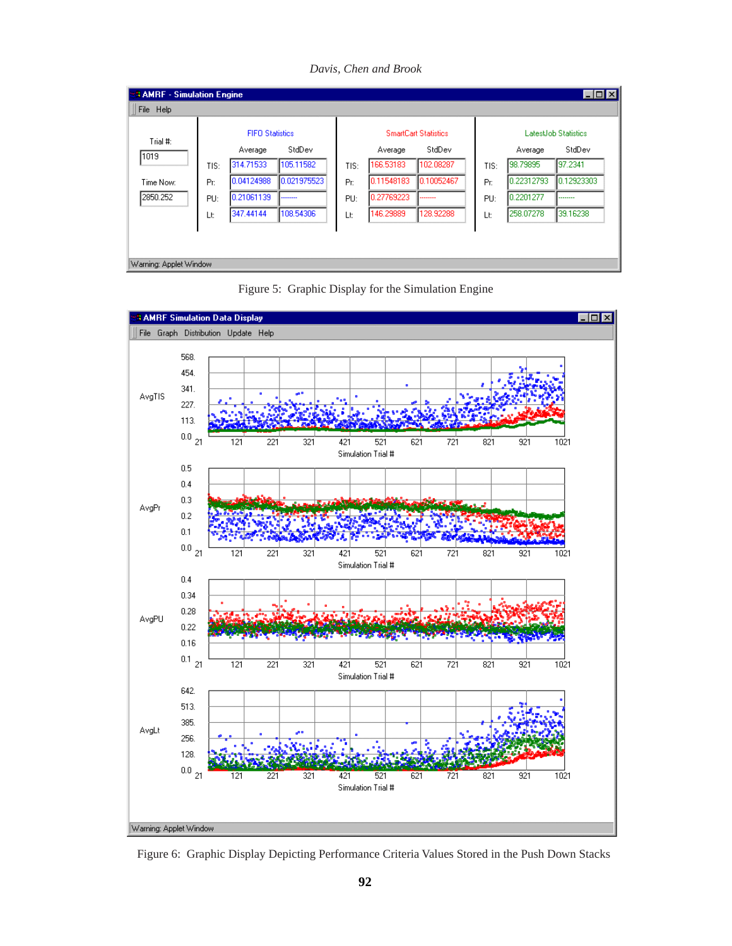*Davis, Chen and Brook*

| $\blacksquare\square\textrm{X}$<br><b>B AMRF - Simulation Engine</b> |                        |            |             |      |                             |            |      |                      |            |  |  |  |
|----------------------------------------------------------------------|------------------------|------------|-------------|------|-----------------------------|------------|------|----------------------|------------|--|--|--|
| File Help                                                            |                        |            |             |      |                             |            |      |                      |            |  |  |  |
| Trial #:                                                             | <b>FIFO Statistics</b> |            |             |      | <b>SmartCart Statistics</b> |            |      | LatestJob Statistics |            |  |  |  |
| 11019                                                                |                        | Average    | StdDev      |      | Average                     | StdDev     |      | Average              | StdDev     |  |  |  |
|                                                                      | TIS:                   | 314.71533  | 105.11582   | TIS: | 166,53183                   | 102.08287  | TIS: | 98.79895             | 197.2341   |  |  |  |
| Time Now:                                                            | Pr:                    | 0.04124988 | 0.021975523 | Pr:  | 0.11548183                  | 0.10052467 | Pr:  | 0.22312793           | 0.12923303 |  |  |  |
| 2850.252                                                             | PU:                    | 0.21061139 |             | PU:  | 0.27769223                  |            | PU:  | 0.2201277            |            |  |  |  |
|                                                                      | Lt:                    | 347.44144  | 108,54306   | Lt:  | 146.29889                   | 128.92288  | Lt:  | 258.07278            | 39.16238   |  |  |  |
|                                                                      |                        |            |             |      |                             |            |      |                      |            |  |  |  |
|                                                                      |                        |            |             |      |                             |            |      |                      |            |  |  |  |
| Warning: Applet Window                                               |                        |            |             |      |                             |            |      |                      |            |  |  |  |

Figure 5: Graphic Display for the Simulation Engine



Figure 6: Graphic Display Depicting Performance Criteria Values Stored in the Push Down Stacks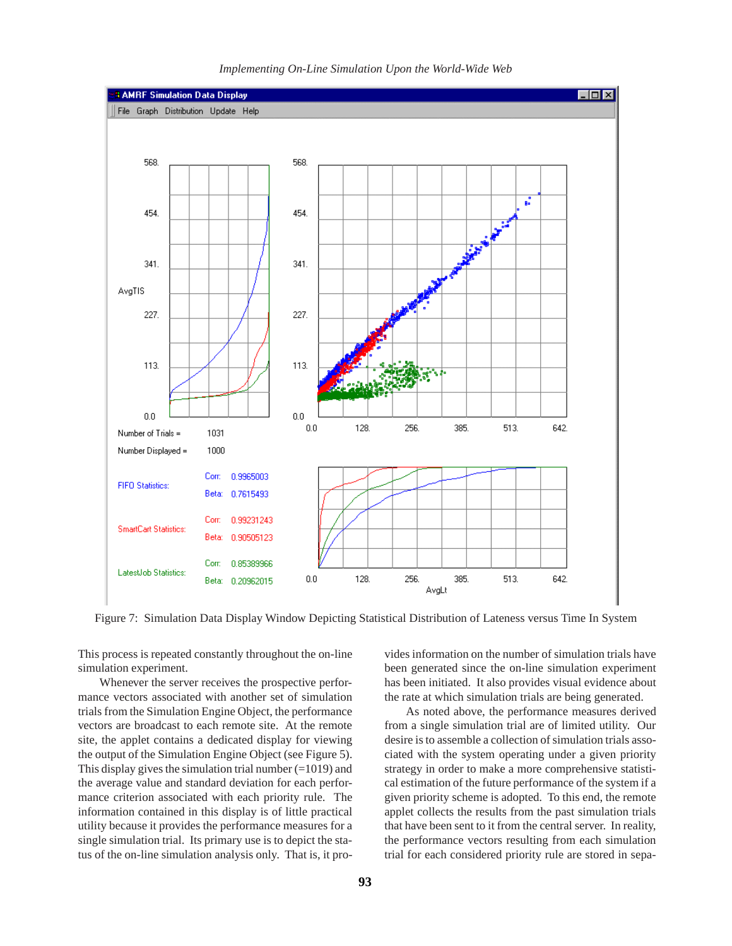

*Implementing On-Line Simulation Upon the World-Wide Web*

Figure 7: Simulation Data Display Window Depicting Statistical Distribution of Lateness versus Time In System

This process is repeated constantly throughout the on-line simulation experiment.

Whenever the server receives the prospective performance vectors associated with another set of simulation trials from the Simulation Engine Object, the performance vectors are broadcast to each remote site. At the remote site, the applet contains a dedicated display for viewing the output of the Simulation Engine Object (see Figure 5). This display gives the simulation trial number  $(=1019)$  and the average value and standard deviation for each performance criterion associated with each priority rule. The information contained in this display is of little practical utility because it provides the performance measures for a single simulation trial. Its primary use is to depict the status of the on-line simulation analysis only. That is, it provides information on the number of simulation trials have been generated since the on-line simulation experiment has been initiated. It also provides visual evidence about the rate at which simulation trials are being generated.

As noted above, the performance measures derived from a single simulation trial are of limited utility. Our desire is to assemble a collection of simulation trials associated with the system operating under a given priority strategy in order to make a more comprehensive statistical estimation of the future performance of the system if a given priority scheme is adopted. To this end, the remote applet collects the results from the past simulation trials that have been sent to it from the central server. In reality, the performance vectors resulting from each simulation trial for each considered priority rule are stored in sepa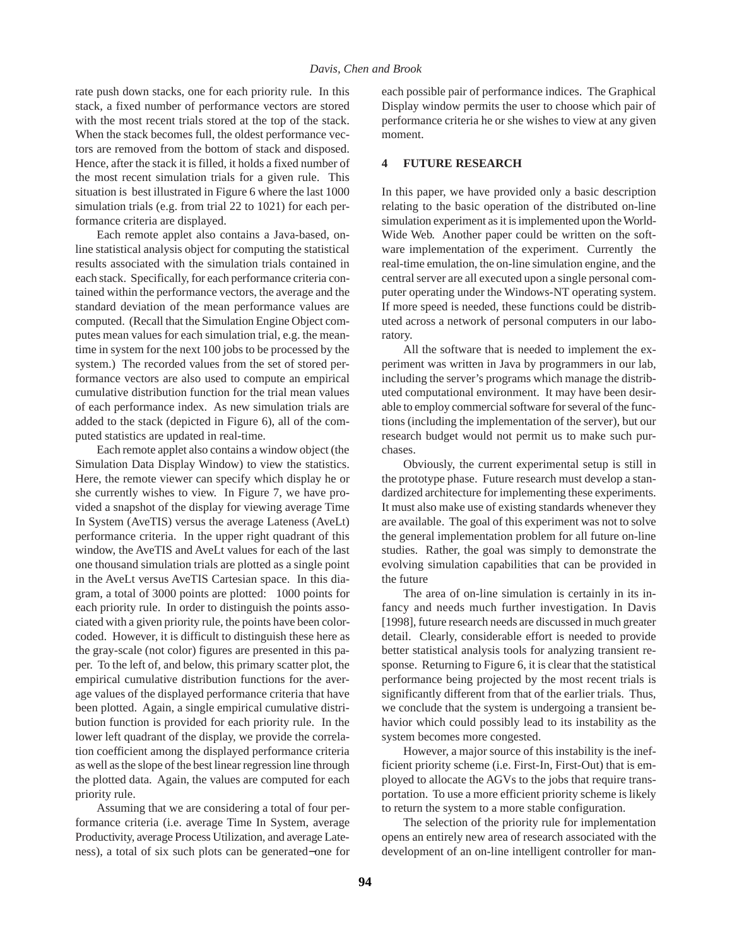rate push down stacks, one for each priority rule. In this stack, a fixed number of performance vectors are stored with the most recent trials stored at the top of the stack. When the stack becomes full, the oldest performance vectors are removed from the bottom of stack and disposed. Hence, after the stack it is filled, it holds a fixed number of the most recent simulation trials for a given rule. This situation is best illustrated in Figure 6 where the last 1000 simulation trials (e.g. from trial 22 to 1021) for each performance criteria are displayed.

Each remote applet also contains a Java-based, online statistical analysis object for computing the statistical results associated with the simulation trials contained in each stack. Specifically, for each performance criteria contained within the performance vectors, the average and the standard deviation of the mean performance values are computed. (Recall that the Simulation Engine Object computes mean values for each simulation trial, e.g. the meantime in system for the next 100 jobs to be processed by the system.) The recorded values from the set of stored performance vectors are also used to compute an empirical cumulative distribution function for the trial mean values of each performance index. As new simulation trials are added to the stack (depicted in Figure 6), all of the computed statistics are updated in real-time.

Each remote applet also contains a window object (the Simulation Data Display Window) to view the statistics. Here, the remote viewer can specify which display he or she currently wishes to view. In Figure 7, we have provided a snapshot of the display for viewing average Time In System (AveTIS) versus the average Lateness (AveLt) performance criteria. In the upper right quadrant of this window, the AveTIS and AveLt values for each of the last one thousand simulation trials are plotted as a single point in the AveLt versus AveTIS Cartesian space. In this diagram, a total of 3000 points are plotted: 1000 points for each priority rule. In order to distinguish the points associated with a given priority rule, the points have been colorcoded. However, it is difficult to distinguish these here as the gray-scale (not color) figures are presented in this paper. To the left of, and below, this primary scatter plot, the empirical cumulative distribution functions for the average values of the displayed performance criteria that have been plotted. Again, a single empirical cumulative distribution function is provided for each priority rule. In the lower left quadrant of the display, we provide the correlation coefficient among the displayed performance criteria as well as the slope of the best linear regression line through the plotted data. Again, the values are computed for each priority rule.

Assuming that we are considering a total of four performance criteria (i.e. average Time In System, average Productivity, average Process Utilization, and average Lateness), a total of six such plots can be generated−one for

each possible pair of performance indices. The Graphical Display window permits the user to choose which pair of performance criteria he or she wishes to view at any given moment.

# **4 FUTURE RESEARCH**

In this paper, we have provided only a basic description relating to the basic operation of the distributed on-line simulation experiment as it is implemented upon the World-Wide Web. Another paper could be written on the software implementation of the experiment. Currently the real-time emulation, the on-line simulation engine, and the central server are all executed upon a single personal computer operating under the Windows-NT operating system. If more speed is needed, these functions could be distributed across a network of personal computers in our laboratory.

All the software that is needed to implement the experiment was written in Java by programmers in our lab, including the server's programs which manage the distributed computational environment. It may have been desirable to employ commercial software for several of the functions (including the implementation of the server), but our research budget would not permit us to make such purchases.

Obviously, the current experimental setup is still in the prototype phase. Future research must develop a standardized architecture for implementing these experiments. It must also make use of existing standards whenever they are available. The goal of this experiment was not to solve the general implementation problem for all future on-line studies. Rather, the goal was simply to demonstrate the evolving simulation capabilities that can be provided in the future

The area of on-line simulation is certainly in its infancy and needs much further investigation. In Davis [1998], future research needs are discussed in much greater detail. Clearly, considerable effort is needed to provide better statistical analysis tools for analyzing transient response. Returning to Figure 6, it is clear that the statistical performance being projected by the most recent trials is significantly different from that of the earlier trials. Thus, we conclude that the system is undergoing a transient behavior which could possibly lead to its instability as the system becomes more congested.

However, a major source of this instability is the inefficient priority scheme (i.e. First-In, First-Out) that is employed to allocate the AGVs to the jobs that require transportation. To use a more efficient priority scheme is likely to return the system to a more stable configuration.

The selection of the priority rule for implementation opens an entirely new area of research associated with the development of an on-line intelligent controller for man